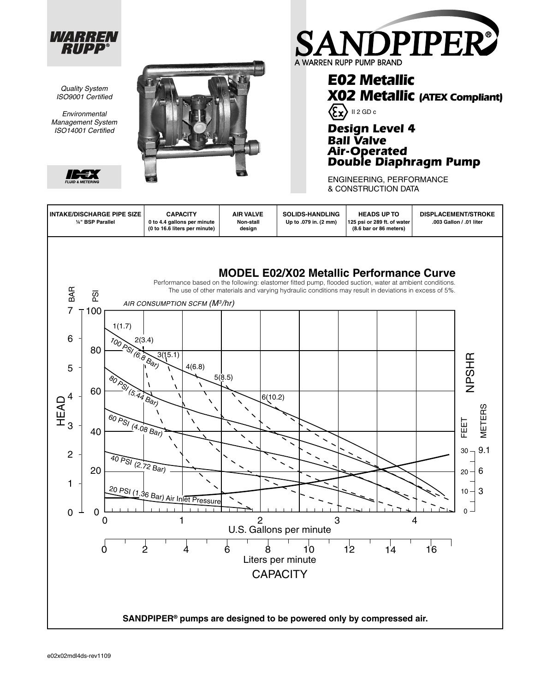

*Quality System ISO9001 Certifi ed Environmental Management System ISO14001 Certifi ed*





**E02 Metallic**

**Design Level 4**

**Ball Valve Air-Operated**

 $\langle \xi_{\mathbf{X}} \rangle$  II 2 GD c

A WARREN RUPP PUMP BRAND

**X02 Metallic (ATEX Compliant)**

NDPIPER®

**Double Diaphragm Pump**

ENGINEERING, PERFORMANCE